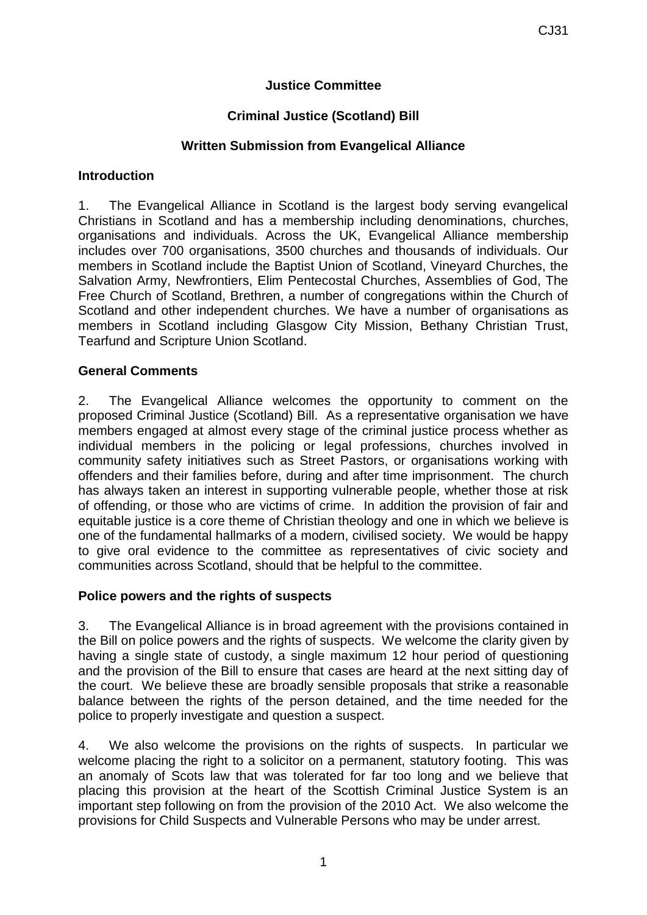## **Justice Committee**

## **Criminal Justice (Scotland) Bill**

### **Written Submission from Evangelical Alliance**

### **Introduction**

1. The Evangelical Alliance in Scotland is the largest body serving evangelical Christians in Scotland and has a membership including denominations, churches, organisations and individuals. Across the UK, Evangelical Alliance membership includes over 700 organisations, 3500 churches and thousands of individuals. Our members in Scotland include the Baptist Union of Scotland, Vineyard Churches, the Salvation Army, Newfrontiers, Elim Pentecostal Churches, Assemblies of God, The Free Church of Scotland, Brethren, a number of congregations within the Church of Scotland and other independent churches. We have a number of organisations as members in Scotland including Glasgow City Mission, Bethany Christian Trust, Tearfund and Scripture Union Scotland.

### **General Comments**

2. The Evangelical Alliance welcomes the opportunity to comment on the proposed Criminal Justice (Scotland) Bill. As a representative organisation we have members engaged at almost every stage of the criminal justice process whether as individual members in the policing or legal professions, churches involved in community safety initiatives such as Street Pastors, or organisations working with offenders and their families before, during and after time imprisonment. The church has always taken an interest in supporting vulnerable people, whether those at risk of offending, or those who are victims of crime. In addition the provision of fair and equitable justice is a core theme of Christian theology and one in which we believe is one of the fundamental hallmarks of a modern, civilised society. We would be happy to give oral evidence to the committee as representatives of civic society and communities across Scotland, should that be helpful to the committee.

#### **Police powers and the rights of suspects**

3. The Evangelical Alliance is in broad agreement with the provisions contained in the Bill on police powers and the rights of suspects. We welcome the clarity given by having a single state of custody, a single maximum 12 hour period of questioning and the provision of the Bill to ensure that cases are heard at the next sitting day of the court. We believe these are broadly sensible proposals that strike a reasonable balance between the rights of the person detained, and the time needed for the police to properly investigate and question a suspect.

4. We also welcome the provisions on the rights of suspects. In particular we welcome placing the right to a solicitor on a permanent, statutory footing. This was an anomaly of Scots law that was tolerated for far too long and we believe that placing this provision at the heart of the Scottish Criminal Justice System is an important step following on from the provision of the 2010 Act. We also welcome the provisions for Child Suspects and Vulnerable Persons who may be under arrest.